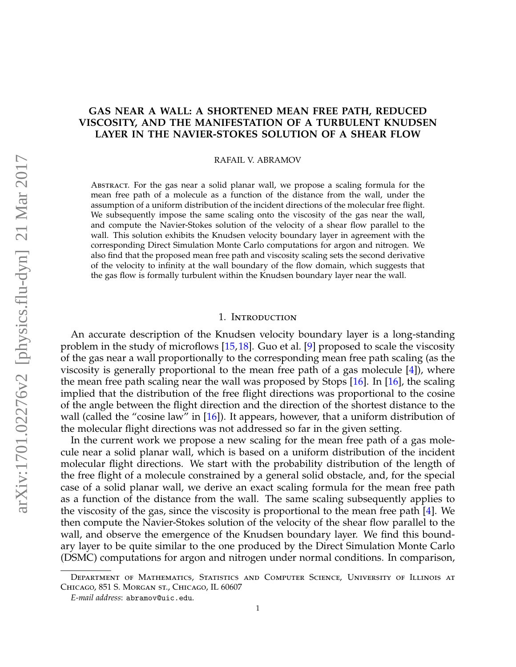# **GAS NEAR A WALL: A SHORTENED MEAN FREE PATH, REDUCED VISCOSITY, AND THE MANIFESTATION OF A TURBULENT KNUDSEN LAYER IN THE NAVIER-STOKES SOLUTION OF A SHEAR FLOW**

RAFAIL V. ABRAMOV

Abstract. For the gas near a solid planar wall, we propose a scaling formula for the mean free path of a molecule as a function of the distance from the wall, under the assumption of a uniform distribution of the incident directions of the molecular free flight. We subsequently impose the same scaling onto the viscosity of the gas near the wall, and compute the Navier-Stokes solution of the velocity of a shear flow parallel to the wall. This solution exhibits the Knudsen velocity boundary layer in agreement with the corresponding Direct Simulation Monte Carlo computations for argon and nitrogen. We also find that the proposed mean free path and viscosity scaling sets the second derivative of the velocity to infinity at the wall boundary of the flow domain, which suggests that the gas flow is formally turbulent within the Knudsen boundary layer near the wall.

#### 1. Introduction

An accurate description of the Knudsen velocity boundary layer is a long-standing problem in the study of microflows [\[15,](#page-11-0)[18\]](#page-11-1). Guo et al. [\[9\]](#page-11-2) proposed to scale the viscosity of the gas near a wall proportionally to the corresponding mean free path scaling (as the viscosity is generally proportional to the mean free path of a gas molecule [\[4\]](#page-11-3)), where the mean free path scaling near the wall was proposed by Stops [\[16\]](#page-11-4). In [\[16\]](#page-11-4), the scaling implied that the distribution of the free flight directions was proportional to the cosine of the angle between the flight direction and the direction of the shortest distance to the wall (called the "cosine law" in [\[16\]](#page-11-4)). It appears, however, that a uniform distribution of the molecular flight directions was not addressed so far in the given setting.

In the current work we propose a new scaling for the mean free path of a gas molecule near a solid planar wall, which is based on a uniform distribution of the incident molecular flight directions. We start with the probability distribution of the length of the free flight of a molecule constrained by a general solid obstacle, and, for the special case of a solid planar wall, we derive an exact scaling formula for the mean free path as a function of the distance from the wall. The same scaling subsequently applies to the viscosity of the gas, since the viscosity is proportional to the mean free path [\[4\]](#page-11-3). We then compute the Navier-Stokes solution of the velocity of the shear flow parallel to the wall, and observe the emergence of the Knudsen boundary layer. We find this boundary layer to be quite similar to the one produced by the Direct Simulation Monte Carlo (DSMC) computations for argon and nitrogen under normal conditions. In comparison,

Department of Mathematics, Statistics and Computer Science, University of Illinois at Chicago, 851 S. Morgan st., Chicago, IL 60607

*E-mail address*: abramov@uic.edu.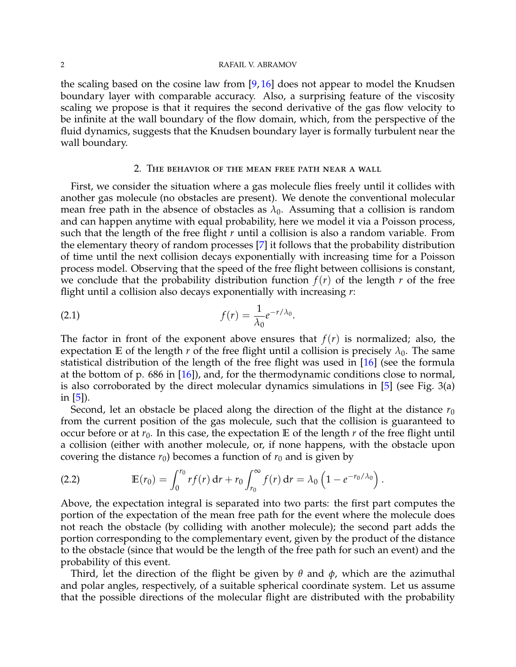#### 2 RAFAIL V. ABRAMOV

the scaling based on the cosine law from  $[9, 16]$  $[9, 16]$  $[9, 16]$  does not appear to model the Knudsen boundary layer with comparable accuracy. Also, a surprising feature of the viscosity scaling we propose is that it requires the second derivative of the gas flow velocity to be infinite at the wall boundary of the flow domain, which, from the perspective of the fluid dynamics, suggests that the Knudsen boundary layer is formally turbulent near the wall boundary.

#### 2. The behavior of the mean free path near a wall

First, we consider the situation where a gas molecule flies freely until it collides with another gas molecule (no obstacles are present). We denote the conventional molecular mean free path in the absence of obstacles as  $\lambda_0$ . Assuming that a collision is random and can happen anytime with equal probability, here we model it via a Poisson process, such that the length of the free flight *r* until a collision is also a random variable. From the elementary theory of random processes [\[7\]](#page-11-5) it follows that the probability distribution of time until the next collision decays exponentially with increasing time for a Poisson process model. Observing that the speed of the free flight between collisions is constant, we conclude that the probability distribution function  $f(r)$  of the length  $r$  of the free flight until a collision also decays exponentially with increasing *r*:

$$
f(r) = \frac{1}{\lambda_0} e^{-r/\lambda_0}.
$$

The factor in front of the exponent above ensures that  $f(r)$  is normalized; also, the expectation **E** of the length *r* of the free flight until a collision is precisely  $\lambda_0$ . The same statistical distribution of the length of the free flight was used in [\[16\]](#page-11-4) (see the formula at the bottom of p. 686 in [\[16\]](#page-11-4)), and, for the thermodynamic conditions close to normal, is also corroborated by the direct molecular dynamics simulations in [\[5\]](#page-11-6) (see Fig. 3(a) in [\[5\]](#page-11-6)).

Second, let an obstacle be placed along the direction of the flight at the distance  $r_0$ from the current position of the gas molecule, such that the collision is guaranteed to occur before or at  $r_0$ . In this case, the expectation **E** of the length  $r$  of the free flight until a collision (either with another molecule, or, if none happens, with the obstacle upon covering the distance  $r_0$ ) becomes a function of  $r_0$  and is given by

(2.2) 
$$
\mathbb{E}(r_0) = \int_0^{r_0} r f(r) dr + r_0 \int_{r_0}^{\infty} f(r) dr = \lambda_0 \left( 1 - e^{-r_0/\lambda_0} \right).
$$

Above, the expectation integral is separated into two parts: the first part computes the portion of the expectation of the mean free path for the event where the molecule does not reach the obstacle (by colliding with another molecule); the second part adds the portion corresponding to the complementary event, given by the product of the distance to the obstacle (since that would be the length of the free path for such an event) and the probability of this event.

Third, let the direction of the flight be given by *θ* and *φ*, which are the azimuthal and polar angles, respectively, of a suitable spherical coordinate system. Let us assume that the possible directions of the molecular flight are distributed with the probability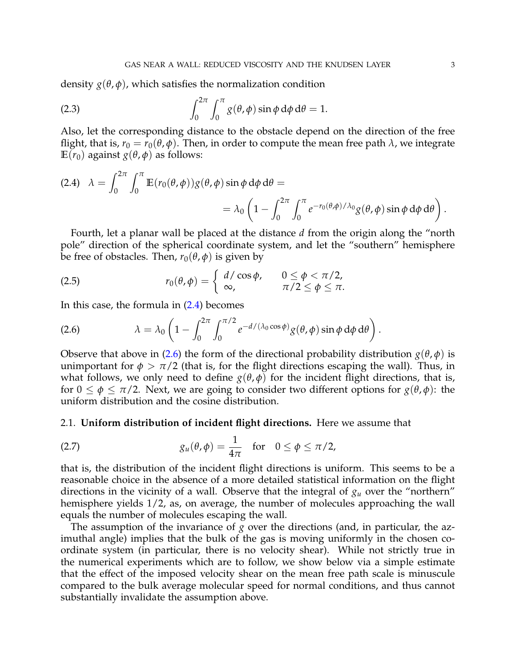density  $g(\theta, \phi)$ , which satisfies the normalization condition

(2.3) 
$$
\int_0^{2\pi} \int_0^{\pi} g(\theta, \phi) \sin \phi \, d\phi \, d\theta = 1.
$$

Also, let the corresponding distance to the obstacle depend on the direction of the free flight, that is,  $r_0 = r_0(\theta, \phi)$ . Then, in order to compute the mean free path  $\lambda$ , we integrate **E**(*r*<sub>0</sub>) against *g*( $θ$ , $φ$ ) as follows:

<span id="page-2-0"></span>(2.4) 
$$
\lambda = \int_0^{2\pi} \int_0^{\pi} \mathbb{E}(r_0(\theta,\phi))g(\theta,\phi)\sin\phi \,d\phi \,d\theta =
$$
  
=  $\lambda_0 \left(1 - \int_0^{2\pi} \int_0^{\pi} e^{-r_0(\theta,\phi)/\lambda_0} g(\theta,\phi)\sin\phi \,d\phi \,d\theta\right).$ 

Fourth, let a planar wall be placed at the distance *d* from the origin along the "north pole" direction of the spherical coordinate system, and let the "southern" hemisphere be free of obstacles. Then,  $r_0(\theta, \phi)$  is given by

(2.5) 
$$
r_0(\theta,\phi)=\begin{cases} d/\cos\phi, & 0\leq\phi<\pi/2, \\ \infty, & \pi/2\leq\phi\leq\pi. \end{cases}
$$

In this case, the formula in  $(2.4)$  becomes

<span id="page-2-1"></span>(2.6) 
$$
\lambda = \lambda_0 \left( 1 - \int_0^{2\pi} \int_0^{\pi/2} e^{-d/(\lambda_0 \cos \phi)} g(\theta, \phi) \sin \phi \, d\phi \, d\theta \right).
$$

Observe that above in [\(2.6\)](#page-2-1) the form of the directional probability distribution  $g(\theta, \phi)$  is unimportant for  $\phi > \pi/2$  (that is, for the flight directions escaping the wall). Thus, in what follows, we only need to define  $g(\theta, \phi)$  for the incident flight directions, that is, for  $0 \le \phi \le \pi/2$ . Next, we are going to consider two different options for  $g(\theta, \phi)$ : the uniform distribution and the cosine distribution.

### 2.1. **Uniform distribution of incident flight directions.** Here we assume that

(2.7) 
$$
g_u(\theta,\phi)=\frac{1}{4\pi} \text{ for } 0 \leq \phi \leq \pi/2,
$$

that is, the distribution of the incident flight directions is uniform. This seems to be a reasonable choice in the absence of a more detailed statistical information on the flight directions in the vicinity of a wall. Observe that the integral of  $g_u$  over the "northern" hemisphere yields 1/2, as, on average, the number of molecules approaching the wall equals the number of molecules escaping the wall.

The assumption of the invariance of *g* over the directions (and, in particular, the azimuthal angle) implies that the bulk of the gas is moving uniformly in the chosen coordinate system (in particular, there is no velocity shear). While not strictly true in the numerical experiments which are to follow, we show below via a simple estimate that the effect of the imposed velocity shear on the mean free path scale is minuscule compared to the bulk average molecular speed for normal conditions, and thus cannot substantially invalidate the assumption above.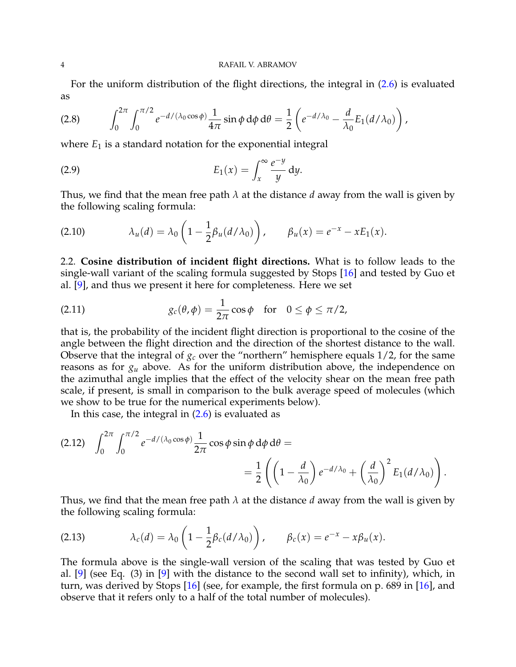For the uniform distribution of the flight directions, the integral in [\(2.6\)](#page-2-1) is evaluated as

(2.8) 
$$
\int_0^{2\pi} \int_0^{\pi/2} e^{-d/(\lambda_0 \cos \phi)} \frac{1}{4\pi} \sin \phi \, d\phi \, d\theta = \frac{1}{2} \left( e^{-d/\lambda_0} - \frac{d}{\lambda_0} E_1(d/\lambda_0) \right),
$$

where  $E_1$  is a standard notation for the exponential integral

$$
E_1(x) = \int_x^\infty \frac{e^{-y}}{y} dy.
$$

Thus, we find that the mean free path *λ* at the distance *d* away from the wall is given by the following scaling formula:

<span id="page-3-0"></span>
$$
(2.10) \qquad \lambda_u(d) = \lambda_0 \left(1 - \frac{1}{2}\beta_u(d/\lambda_0)\right), \qquad \beta_u(x) = e^{-x} - xE_1(x).
$$

2.2. **Cosine distribution of incident flight directions.** What is to follow leads to the single-wall variant of the scaling formula suggested by Stops [\[16\]](#page-11-4) and tested by Guo et al. [\[9\]](#page-11-2), and thus we present it here for completeness. Here we set

(2.11) 
$$
g_c(\theta, \phi) = \frac{1}{2\pi} \cos \phi \quad \text{for} \quad 0 \le \phi \le \pi/2,
$$

that is, the probability of the incident flight direction is proportional to the cosine of the angle between the flight direction and the direction of the shortest distance to the wall. Observe that the integral of  $g_c$  over the "northern" hemisphere equals  $1/2$ , for the same reasons as for *g<sup>u</sup>* above. As for the uniform distribution above, the independence on the azimuthal angle implies that the effect of the velocity shear on the mean free path scale, if present, is small in comparison to the bulk average speed of molecules (which we show to be true for the numerical experiments below).

In this case, the integral in [\(2.6\)](#page-2-1) is evaluated as

$$
(2.12) \quad \int_0^{2\pi} \int_0^{\pi/2} e^{-d/(\lambda_0 \cos \phi)} \frac{1}{2\pi} \cos \phi \sin \phi \, d\phi \, d\theta =
$$
  
=  $\frac{1}{2} \left( \left( 1 - \frac{d}{\lambda_0} \right) e^{-d/\lambda_0} + \left( \frac{d}{\lambda_0} \right)^2 E_1(d/\lambda_0) \right).$ 

Thus, we find that the mean free path *λ* at the distance *d* away from the wall is given by the following scaling formula:

<span id="page-3-1"></span>(2.13) 
$$
\lambda_c(d) = \lambda_0 \left( 1 - \frac{1}{2} \beta_c(d/\lambda_0) \right), \qquad \beta_c(x) = e^{-x} - x \beta_u(x).
$$

The formula above is the single-wall version of the scaling that was tested by Guo et al. [\[9\]](#page-11-2) (see Eq. (3) in [\[9\]](#page-11-2) with the distance to the second wall set to infinity), which, in turn, was derived by Stops [\[16\]](#page-11-4) (see, for example, the first formula on p. 689 in [\[16\]](#page-11-4), and observe that it refers only to a half of the total number of molecules).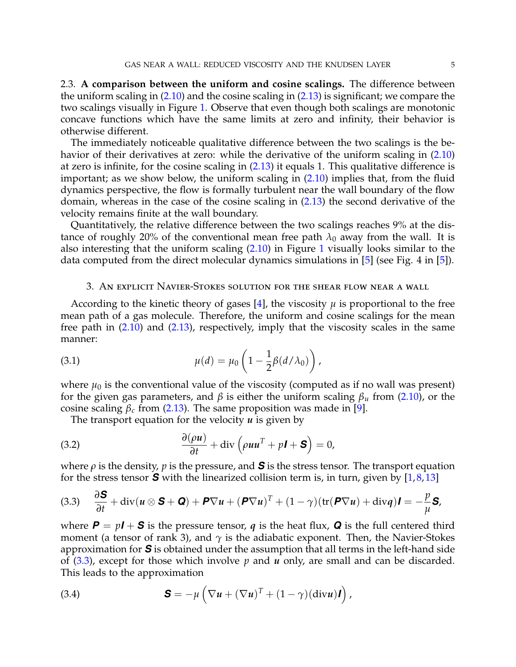2.3. **A comparison between the uniform and cosine scalings.** The difference between the uniform scaling in  $(2.10)$  and the cosine scaling in  $(2.13)$  is significant; we compare the two scalings visually in Figure [1.](#page-5-0) Observe that even though both scalings are monotonic concave functions which have the same limits at zero and infinity, their behavior is otherwise different.

The immediately noticeable qualitative difference between the two scalings is the behavior of their derivatives at zero: while the derivative of the uniform scaling in  $(2.10)$ at zero is infinite, for the cosine scaling in [\(2.13\)](#page-3-1) it equals 1. This qualitative difference is important; as we show below, the uniform scaling in  $(2.10)$  implies that, from the fluid dynamics perspective, the flow is formally turbulent near the wall boundary of the flow domain, whereas in the case of the cosine scaling in [\(2.13\)](#page-3-1) the second derivative of the velocity remains finite at the wall boundary.

Quantitatively, the relative difference between the two scalings reaches 9% at the distance of roughly 20% of the conventional mean free path  $\lambda_0$  away from the wall. It is also interesting that the uniform scaling [\(2.10\)](#page-3-0) in Figure [1](#page-5-0) visually looks similar to the data computed from the direct molecular dynamics simulations in [\[5\]](#page-11-6) (see Fig. 4 in [\[5\]](#page-11-6)).

### <span id="page-4-3"></span>3. An explicit Navier-Stokes solution for the shear flow near a wall

According to the kinetic theory of gases [\[4\]](#page-11-3), the viscosity  $\mu$  is proportional to the free mean path of a gas molecule. Therefore, the uniform and cosine scalings for the mean free path in  $(2.10)$  and  $(2.13)$ , respectively, imply that the viscosity scales in the same manner:

(3.1) 
$$
\mu(d) = \mu_0 \left( 1 - \frac{1}{2} \beta (d/\lambda_0) \right),
$$

where  $\mu_0$  is the conventional value of the viscosity (computed as if no wall was present) for the given gas parameters, and *β* is either the uniform scaling *β<sup>u</sup>* from [\(2.10\)](#page-3-0), or the cosine scaling  $\beta_c$  from [\(2.13\)](#page-3-1). The same proposition was made in [\[9\]](#page-11-2).

<span id="page-4-1"></span>The transport equation for the velocity *u* is given by

(3.2) 
$$
\frac{\partial(\rho u)}{\partial t} + \text{div}\left(\rho u u^T + p \mathbf{I} + \mathbf{S}\right) = 0,
$$

where  $\rho$  is the density,  $p$  is the pressure, and **S** is the stress tensor. The transport equation for the stress tensor  $\boldsymbol{S}$  with the linearized collision term is, in turn, given by [\[1,](#page-11-7)[8,](#page-11-8)[13\]](#page-11-9)

<span id="page-4-0"></span>(3.3) 
$$
\frac{\partial \mathbf{S}}{\partial t} + \text{div}(\mathbf{u} \otimes \mathbf{S} + \mathbf{Q}) + \mathbf{P} \nabla \mathbf{u} + (\mathbf{P} \nabla \mathbf{u})^T + (1 - \gamma)(\text{tr}(\mathbf{P} \nabla \mathbf{u}) + \text{div}\mathbf{q})\mathbf{I} = -\frac{p}{\mu}\mathbf{S},
$$

where  $P = pI + S$  is the pressure tensor, *q* is the heat flux, **Q** is the full centered third moment (a tensor of rank 3), and  $\gamma$  is the adiabatic exponent. Then, the Navier-Stokes approximation for *S* is obtained under the assumption that all terms in the left-hand side of [\(3.3\)](#page-4-0), except for those which involve *p* and *u* only, are small and can be discarded. This leads to the approximation

<span id="page-4-2"></span>(3.4) 
$$
\mathbf{S} = -\mu \left( \nabla \boldsymbol{u} + (\nabla \boldsymbol{u})^T + (1 - \gamma)(\mathrm{div} \boldsymbol{u}) \boldsymbol{I} \right),
$$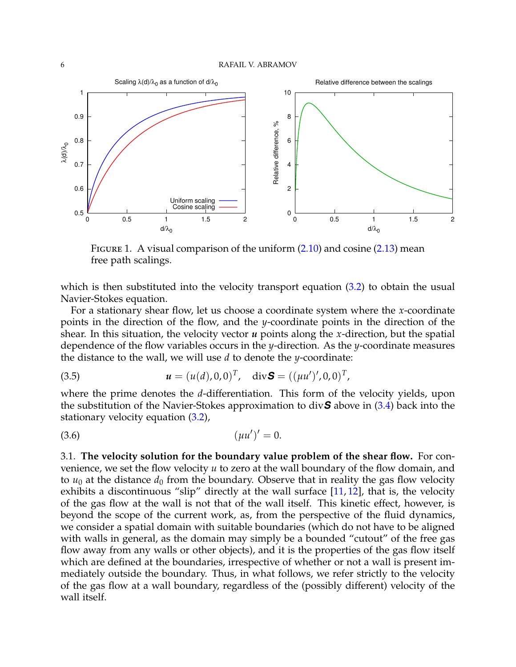<span id="page-5-0"></span>

FIGURE 1. A visual comparison of the uniform  $(2.10)$  and cosine  $(2.13)$  mean free path scalings.

which is then substituted into the velocity transport equation  $(3.2)$  to obtain the usual Navier-Stokes equation.

For a stationary shear flow, let us choose a coordinate system where the *x*-coordinate points in the direction of the flow, and the *y*-coordinate points in the direction of the shear. In this situation, the velocity vector *u* points along the *x*-direction, but the spatial dependence of the flow variables occurs in the *y*-direction. As the *y*-coordinate measures the distance to the wall, we will use *d* to denote the *y*-coordinate:

(3.5) 
$$
u = (u(d), 0, 0)^T, \text{ div } S = ((\mu u')', 0, 0)^T,
$$

where the prime denotes the *d*-differentiation. This form of the velocity yields, upon the substitution of the Navier-Stokes approximation to div*S* above in [\(3.4\)](#page-4-2) back into the stationary velocity equation [\(3.2\)](#page-4-1),

<span id="page-5-1"></span>
$$
(3.6) \t\t\t (\mu u')' = 0.
$$

3.1. **The velocity solution for the boundary value problem of the shear flow.** For convenience, we set the flow velocity *u* to zero at the wall boundary of the flow domain, and to  $u_0$  at the distance  $d_0$  from the boundary. Observe that in reality the gas flow velocity exhibits a discontinuous "slip" directly at the wall surface  $[11, 12]$  $[11, 12]$  $[11, 12]$ , that is, the velocity of the gas flow at the wall is not that of the wall itself. This kinetic effect, however, is beyond the scope of the current work, as, from the perspective of the fluid dynamics, we consider a spatial domain with suitable boundaries (which do not have to be aligned with walls in general, as the domain may simply be a bounded "cutout" of the free gas flow away from any walls or other objects), and it is the properties of the gas flow itself which are defined at the boundaries, irrespective of whether or not a wall is present immediately outside the boundary. Thus, in what follows, we refer strictly to the velocity of the gas flow at a wall boundary, regardless of the (possibly different) velocity of the wall itself.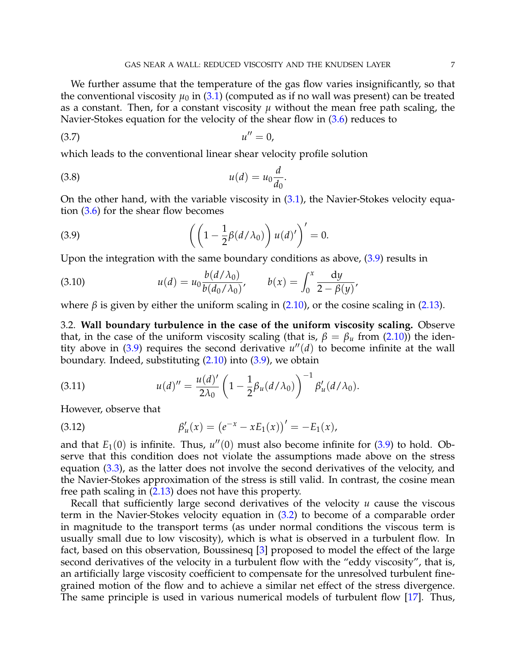We further assume that the temperature of the gas flow varies insignificantly, so that the conventional viscosity  $\mu_0$  in [\(3.1\)](#page-4-3) (computed as if no wall was present) can be treated as a constant. Then, for a constant viscosity  $\mu$  without the mean free path scaling, the Navier-Stokes equation for the velocity of the shear flow in [\(3.6\)](#page-5-1) reduces to

$$
(3.7) \t\t u'' = 0,
$$

which leads to the conventional linear shear velocity profile solution

<span id="page-6-1"></span>
$$
(3.8) \t u(d) = u_0 \frac{d}{d_0}.
$$

On the other hand, with the variable viscosity in  $(3.1)$ , the Navier-Stokes velocity equation [\(3.6\)](#page-5-1) for the shear flow becomes

<span id="page-6-0"></span>(3.9) 
$$
\left( \left( 1 - \frac{1}{2} \beta (d/\lambda_0) \right) u(d) \right)' = 0.
$$

Upon the integration with the same boundary conditions as above,  $(3.9)$  results in

<span id="page-6-2"></span>(3.10) 
$$
u(d) = u_0 \frac{b(d/\lambda_0)}{b(d_0/\lambda_0)}, \qquad b(x) = \int_0^x \frac{dy}{2 - \beta(y)},
$$

where  $\beta$  is given by either the uniform scaling in [\(2.10\)](#page-3-0), or the cosine scaling in [\(2.13\)](#page-3-1).

3.2. **Wall boundary turbulence in the case of the uniform viscosity scaling.** Observe that, in the case of the uniform viscosity scaling (that is,  $\beta = \beta_u$  from [\(2.10\)](#page-3-0)) the identity above in  $(3.9)$  requires the second derivative  $u''(d)$  to become infinite at the wall boundary. Indeed, substituting  $(2.10)$  into  $(3.9)$ , we obtain

(3.11) 
$$
u(d)'' = \frac{u(d)'}{2\lambda_0} \left(1 - \frac{1}{2}\beta_u(d/\lambda_0)\right)^{-1} \beta'_u(d/\lambda_0).
$$

However, observe that

(3.12) 
$$
\beta'_u(x) = (e^{-x} - xE_1(x))' = -E_1(x),
$$

and that  $E_1(0)$  is infinite. Thus,  $u''(0)$  must also become infinite for  $(3.9)$  to hold. Observe that this condition does not violate the assumptions made above on the stress equation [\(3.3\)](#page-4-0), as the latter does not involve the second derivatives of the velocity, and the Navier-Stokes approximation of the stress is still valid. In contrast, the cosine mean free path scaling in [\(2.13\)](#page-3-1) does not have this property.

Recall that sufficiently large second derivatives of the velocity *u* cause the viscous term in the Navier-Stokes velocity equation in [\(3.2\)](#page-4-1) to become of a comparable order in magnitude to the transport terms (as under normal conditions the viscous term is usually small due to low viscosity), which is what is observed in a turbulent flow. In fact, based on this observation, Boussinesq [\[3\]](#page-11-12) proposed to model the effect of the large second derivatives of the velocity in a turbulent flow with the "eddy viscosity", that is, an artificially large viscosity coefficient to compensate for the unresolved turbulent finegrained motion of the flow and to achieve a similar net effect of the stress divergence. The same principle is used in various numerical models of turbulent flow [\[17\]](#page-11-13). Thus,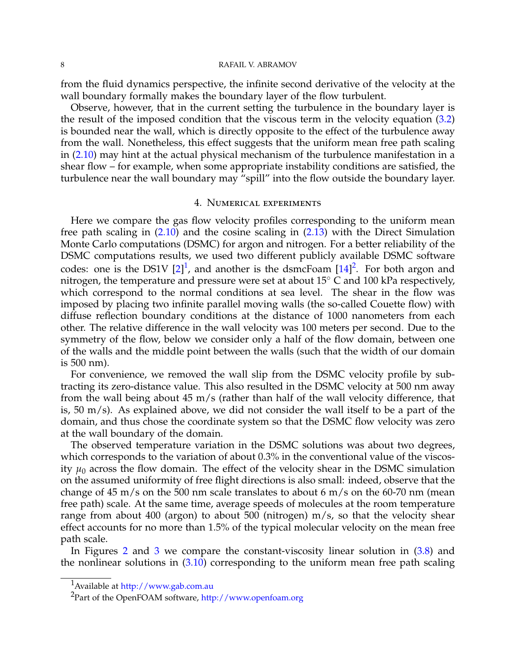#### 8 RAFAIL V. ABRAMOV

from the fluid dynamics perspective, the infinite second derivative of the velocity at the wall boundary formally makes the boundary layer of the flow turbulent.

Observe, however, that in the current setting the turbulence in the boundary layer is the result of the imposed condition that the viscous term in the velocity equation  $(3.2)$ is bounded near the wall, which is directly opposite to the effect of the turbulence away from the wall. Nonetheless, this effect suggests that the uniform mean free path scaling in [\(2.10\)](#page-3-0) may hint at the actual physical mechanism of the turbulence manifestation in a shear flow – for example, when some appropriate instability conditions are satisfied, the turbulence near the wall boundary may "spill" into the flow outside the boundary layer.

#### 4. Numerical experiments

Here we compare the gas flow velocity profiles corresponding to the uniform mean free path scaling in [\(2.10\)](#page-3-0) and the cosine scaling in [\(2.13\)](#page-3-1) with the Direct Simulation Monte Carlo computations (DSMC) for argon and nitrogen. For a better reliability of the DSMC computations results, we used two different publicly available DSMC software codes: one is the DS[1](#page-7-0)V  $[2]^1$  $[2]^1$ , and another is the dsmcFoam  $[14]^2$  $[14]^2$  $[14]^2$ . For both argon and nitrogen, the temperature and pressure were set at about  $15^{\circ}$  C and  $100$  kPa respectively, which correspond to the normal conditions at sea level. The shear in the flow was imposed by placing two infinite parallel moving walls (the so-called Couette flow) with diffuse reflection boundary conditions at the distance of 1000 nanometers from each other. The relative difference in the wall velocity was 100 meters per second. Due to the symmetry of the flow, below we consider only a half of the flow domain, between one of the walls and the middle point between the walls (such that the width of our domain is 500 nm).

For convenience, we removed the wall slip from the DSMC velocity profile by subtracting its zero-distance value. This also resulted in the DSMC velocity at 500 nm away from the wall being about 45 m/s (rather than half of the wall velocity difference, that is, 50 m/s). As explained above, we did not consider the wall itself to be a part of the domain, and thus chose the coordinate system so that the DSMC flow velocity was zero at the wall boundary of the domain.

The observed temperature variation in the DSMC solutions was about two degrees, which corresponds to the variation of about 0.3% in the conventional value of the viscosity  $\mu_0$  across the flow domain. The effect of the velocity shear in the DSMC simulation on the assumed uniformity of free flight directions is also small: indeed, observe that the change of 45 m/s on the 500 nm scale translates to about 6 m/s on the 60-70 nm (mean free path) scale. At the same time, average speeds of molecules at the room temperature range from about 400 (argon) to about 500 (nitrogen) m/s, so that the velocity shear effect accounts for no more than 1.5% of the typical molecular velocity on the mean free path scale.

In Figures [2](#page-8-0) and [3](#page-9-0) we compare the constant-viscosity linear solution in [\(3.8\)](#page-6-1) and the nonlinear solutions in  $(3.10)$  corresponding to the uniform mean free path scaling

<span id="page-7-0"></span><sup>1</sup>Available at <http://www.gab.com.au>

<span id="page-7-1"></span><sup>&</sup>lt;sup>2</sup>Part of the OpenFOAM software, <http://www.openfoam.org>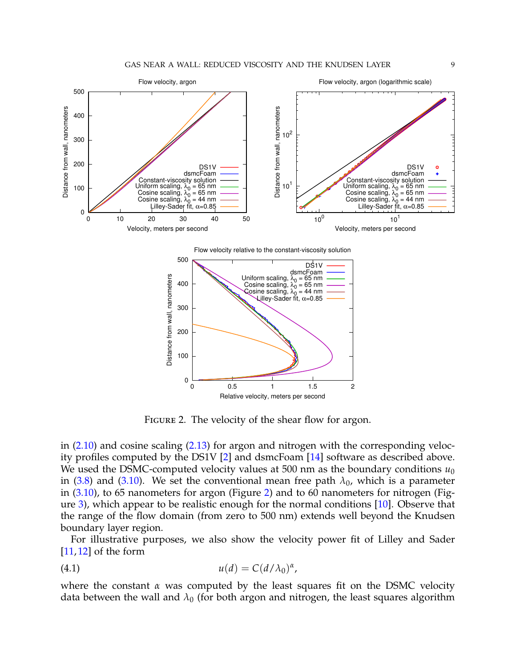<span id="page-8-0"></span>

Flow velocity relative to the constant-viscosity solution



FIGURE 2. The velocity of the shear flow for argon.

in  $(2.10)$  and cosine scaling  $(2.13)$  for argon and nitrogen with the corresponding velocity profiles computed by the DS1V [\[2\]](#page-11-14) and dsmcFoam [\[14\]](#page-11-15) software as described above. We used the DSMC-computed velocity values at 500 nm as the boundary conditions  $u_0$ in [\(3.8\)](#page-6-1) and [\(3.10\)](#page-6-2). We set the conventional mean free path  $\lambda_0$ , which is a parameter in [\(3.10\)](#page-6-2), to 65 nanometers for argon (Figure [2\)](#page-8-0) and to 60 nanometers for nitrogen (Figure [3\)](#page-9-0), which appear to be realistic enough for the normal conditions [\[10\]](#page-11-16). Observe that the range of the flow domain (from zero to 500 nm) extends well beyond the Knudsen boundary layer region.

For illustrative purposes, we also show the velocity power fit of Lilley and Sader  $[11, 12]$  $[11, 12]$  $[11, 12]$  of the form

<span id="page-8-1"></span>
$$
(4.1) \t\t u(d) = C(d/\lambda_0)^{\alpha},
$$

where the constant *α* was computed by the least squares fit on the DSMC velocity data between the wall and  $\lambda_0$  (for both argon and nitrogen, the least squares algorithm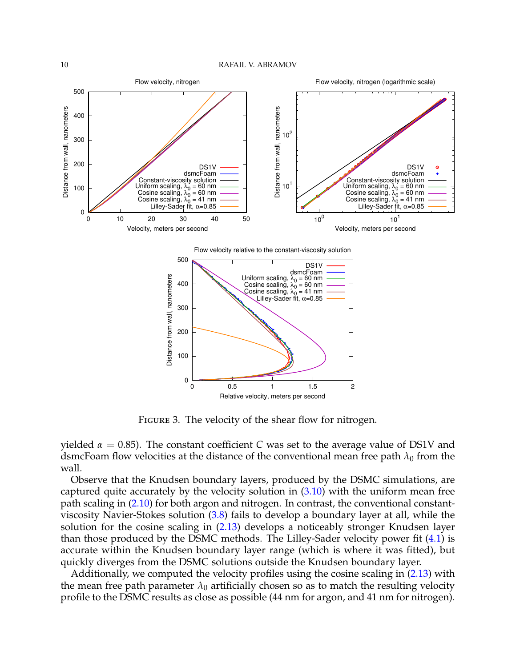<span id="page-9-0"></span>

Flow velocity relative to the constant-viscosity solution



FIGURE 3. The velocity of the shear flow for nitrogen.

yielded  $α = 0.85$ ). The constant coefficient *C* was set to the average value of DS1V and dsmcFoam flow velocities at the distance of the conventional mean free path  $\lambda_0$  from the wall.

Observe that the Knudsen boundary layers, produced by the DSMC simulations, are captured quite accurately by the velocity solution in [\(3.10\)](#page-6-2) with the uniform mean free path scaling in [\(2.10\)](#page-3-0) for both argon and nitrogen. In contrast, the conventional constantviscosity Navier-Stokes solution [\(3.8\)](#page-6-1) fails to develop a boundary layer at all, while the solution for the cosine scaling in [\(2.13\)](#page-3-1) develops a noticeably stronger Knudsen layer than those produced by the DSMC methods. The Lilley-Sader velocity power fit  $(4.1)$  is accurate within the Knudsen boundary layer range (which is where it was fitted), but quickly diverges from the DSMC solutions outside the Knudsen boundary layer.

Additionally, we computed the velocity profiles using the cosine scaling in [\(2.13\)](#page-3-1) with the mean free path parameter  $\lambda_0$  artificially chosen so as to match the resulting velocity profile to the DSMC results as close as possible (44 nm for argon, and 41 nm for nitrogen).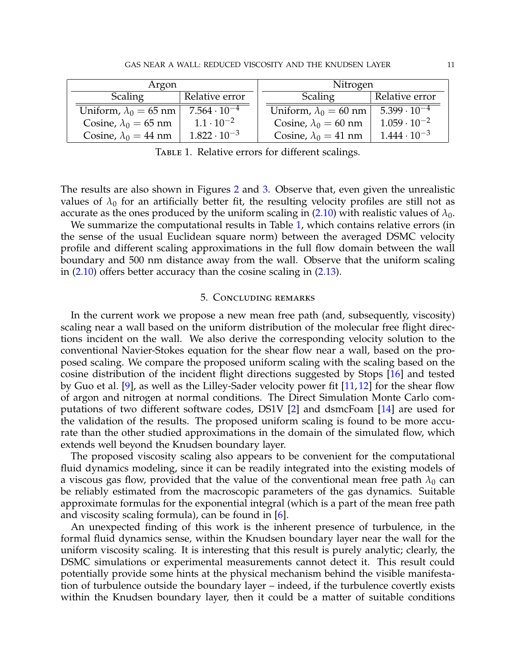<span id="page-10-0"></span>

| Argon                        |                       | Nitrogen                     |                                  |
|------------------------------|-----------------------|------------------------------|----------------------------------|
| Scaling                      | Relative error        | Scaling                      | Relative error                   |
| Uniform, $\lambda_0 = 65$ nm | $7.564 \cdot 10^{-4}$ | Uniform, $\lambda_0 = 60$ nm | $\overline{5.399 \cdot 10^{-4}}$ |
| Cosine, $\lambda_0 = 65$ nm  | $1.1 \cdot 10^{-2}$   | Cosine, $\lambda_0 = 60$ nm  | $1.059 \cdot 10^{-2}$            |
| Cosine, $\lambda_0 = 44$ nm  | $1.822 \cdot 10^{-3}$ | Cosine, $\lambda_0 = 41$ nm  | $1.444 \cdot 10^{-3}$            |

TABLE 1. Relative errors for different scalings.

The results are also shown in Figures [2](#page-8-0) and [3.](#page-9-0) Observe that, even given the unrealistic values of  $\lambda_0$  for an artificially better fit, the resulting velocity profiles are still not as accurate as the ones produced by the uniform scaling in [\(2.10\)](#page-3-0) with realistic values of  $\lambda_0$ .

We summarize the computational results in Table [1,](#page-10-0) which contains relative errors (in the sense of the usual Euclidean square norm) between the averaged DSMC velocity profile and different scaling approximations in the full flow domain between the wall boundary and 500 nm distance away from the wall. Observe that the uniform scaling in  $(2.10)$  offers better accuracy than the cosine scaling in  $(2.13)$ .

### 5. Concluding remarks

In the current work we propose a new mean free path (and, subsequently, viscosity) scaling near a wall based on the uniform distribution of the molecular free flight directions incident on the wall. We also derive the corresponding velocity solution to the conventional Navier-Stokes equation for the shear flow near a wall, based on the proposed scaling. We compare the proposed uniform scaling with the scaling based on the cosine distribution of the incident flight directions suggested by Stops [\[16\]](#page-11-4) and tested by Guo et al. [\[9\]](#page-11-2), as well as the Lilley-Sader velocity power fit [\[11,](#page-11-10) [12\]](#page-11-11) for the shear flow of argon and nitrogen at normal conditions. The Direct Simulation Monte Carlo computations of two different software codes, DS1V [\[2\]](#page-11-14) and dsmcFoam [\[14\]](#page-11-15) are used for the validation of the results. The proposed uniform scaling is found to be more accurate than the other studied approximations in the domain of the simulated flow, which extends well beyond the Knudsen boundary layer.

The proposed viscosity scaling also appears to be convenient for the computational fluid dynamics modeling, since it can be readily integrated into the existing models of a viscous gas flow, provided that the value of the conventional mean free path  $\lambda_0$  can be reliably estimated from the macroscopic parameters of the gas dynamics. Suitable approximate formulas for the exponential integral (which is a part of the mean free path and viscosity scaling formula), can be found in  $[6]$ .

An unexpected finding of this work is the inherent presence of turbulence, in the formal fluid dynamics sense, within the Knudsen boundary layer near the wall for the uniform viscosity scaling. It is interesting that this result is purely analytic; clearly, the DSMC simulations or experimental measurements cannot detect it. This result could potentially provide some hints at the physical mechanism behind the visible manifestation of turbulence outside the boundary layer – indeed, if the turbulence covertly exists within the Knudsen boundary layer, then it could be a matter of suitable conditions